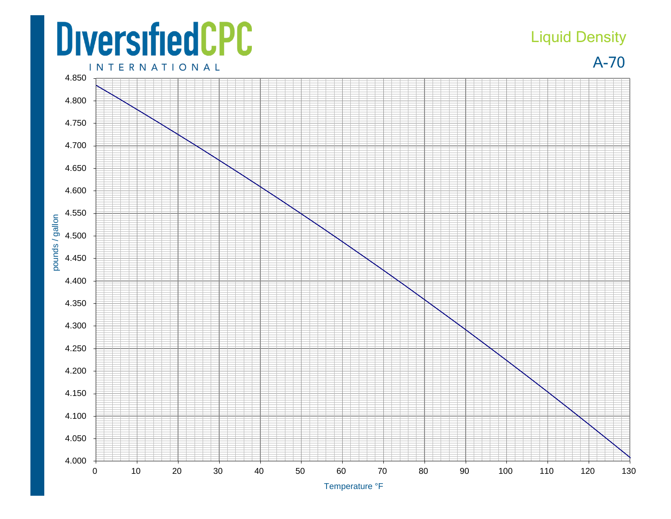## **DiversifiedCPC**

## Liquid Density

A-70



Temperature °F